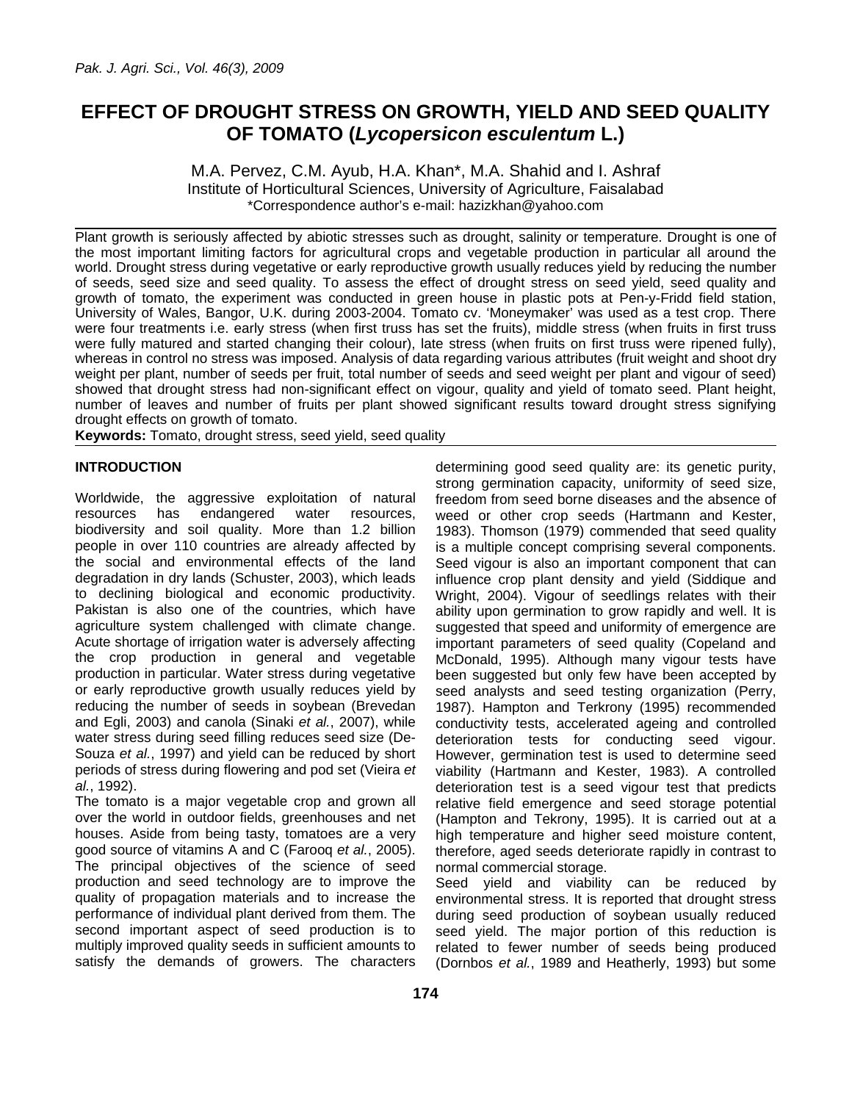# **EFFECT OF DROUGHT STRESS ON GROWTH, YIELD AND SEED QUALITY OF TOMATO (***Lycopersicon esculentum* **L.)**

M.A. Pervez, C.M. Ayub, H.A. Khan\*, M.A. Shahid and I. Ashraf Institute of Horticultural Sciences, University of Agriculture, Faisalabad \*Correspondence author's e-mail: hazizkhan@yahoo.com

Plant growth is seriously affected by abiotic stresses such as drought, salinity or temperature. Drought is one of the most important limiting factors for agricultural crops and vegetable production in particular all around the world. Drought stress during vegetative or early reproductive growth usually reduces yield by reducing the number of seeds, seed size and seed quality. To assess the effect of drought stress on seed yield, seed quality and growth of tomato, the experiment was conducted in green house in plastic pots at Pen-y-Fridd field station, University of Wales, Bangor, U.K. during 2003-2004. Tomato cv. 'Moneymaker' was used as a test crop. There were four treatments i.e. early stress (when first truss has set the fruits), middle stress (when fruits in first truss were fully matured and started changing their colour), late stress (when fruits on first truss were ripened fully), whereas in control no stress was imposed. Analysis of data regarding various attributes (fruit weight and shoot dry weight per plant, number of seeds per fruit, total number of seeds and seed weight per plant and vigour of seed) showed that drought stress had non-significant effect on vigour, quality and yield of tomato seed. Plant height, number of leaves and number of fruits per plant showed significant results toward drought stress signifying drought effects on growth of tomato.

**Keywords:** Tomato, drought stress, seed yield, seed quality

## **INTRODUCTION**

Worldwide, the aggressive exploitation of natural resources has endangered water resources, biodiversity and soil quality. More than 1.2 billion people in over 110 countries are already affected by the social and environmental effects of the land degradation in dry lands (Schuster, 2003), which leads to declining biological and economic productivity. Pakistan is also one of the countries, which have agriculture system challenged with climate change. Acute shortage of irrigation water is adversely affecting the crop production in general and vegetable production in particular. Water stress during vegetative or early reproductive growth usually reduces yield by reducing the number of seeds in soybean (Brevedan and Egli, 2003) and canola (Sinaki *et al.*, 2007), while water stress during seed filling reduces seed size (De-Souza *et al.*, 1997) and yield can be reduced by short periods of stress during flowering and pod set (Vieira *et al.*, 1992).

The tomato is a major vegetable crop and grown all over the world in outdoor fields, greenhouses and net houses. Aside from being tasty, tomatoes are a very good source of vitamins A and C (Farooq *et al.*, 2005). The principal objectives of the science of seed production and seed technology are to improve the quality of propagation materials and to increase the performance of individual plant derived from them. The second important aspect of seed production is to multiply improved quality seeds in sufficient amounts to satisfy the demands of growers. The characters

determining good seed quality are: its genetic purity, strong germination capacity, uniformity of seed size, freedom from seed borne diseases and the absence of weed or other crop seeds (Hartmann and Kester, 1983). Thomson (1979) commended that seed quality is a multiple concept comprising several components. Seed vigour is also an important component that can influence crop plant density and yield (Siddique and Wright, 2004). Vigour of seedlings relates with their ability upon germination to grow rapidly and well. It is suggested that speed and uniformity of emergence are important parameters of seed quality (Copeland and McDonald, 1995). Although many vigour tests have been suggested but only few have been accepted by seed analysts and seed testing organization (Perry, 1987). Hampton and Terkrony (1995) recommended conductivity tests, accelerated ageing and controlled deterioration tests for conducting seed vigour. However, germination test is used to determine seed viability (Hartmann and Kester, 1983). A controlled deterioration test is a seed vigour test that predicts relative field emergence and seed storage potential (Hampton and Tekrony, 1995). It is carried out at a high temperature and higher seed moisture content, therefore, aged seeds deteriorate rapidly in contrast to normal commercial storage.

Seed yield and viability can be reduced by environmental stress. It is reported that drought stress during seed production of soybean usually reduced seed yield. The major portion of this reduction is related to fewer number of seeds being produced (Dornbos *et al.*, 1989 and Heatherly, 1993) but some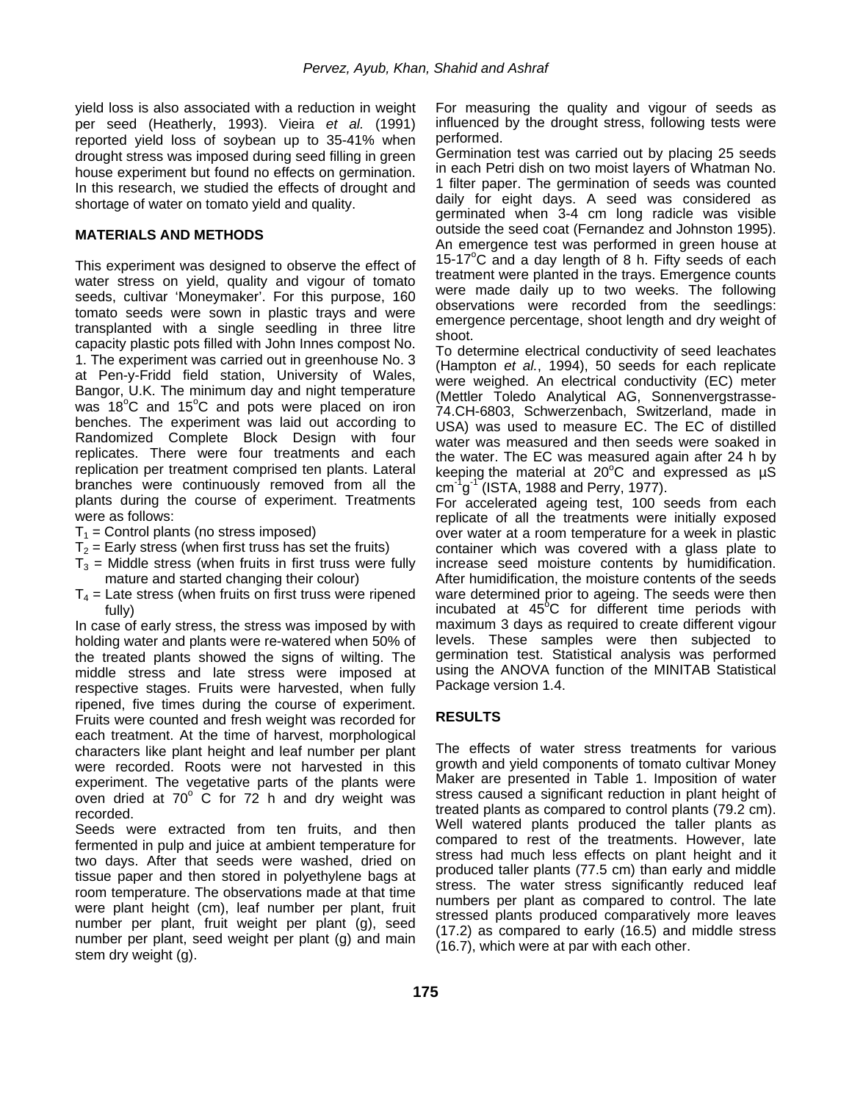yield loss is also associated with a reduction in weight per seed (Heatherly, 1993). Vieira *et al.* (1991) reported yield loss of soybean up to 35-41% when drought stress was imposed during seed filling in green house experiment but found no effects on germination. In this research, we studied the effects of drought and shortage of water on tomato yield and quality.

#### **MATERIALS AND METHODS**

This experiment was designed to observe the effect of water stress on yield, quality and vigour of tomato seeds, cultivar 'Moneymaker'. For this purpose, 160 tomato seeds were sown in plastic trays and were transplanted with a single seedling in three litre capacity plastic pots filled with John Innes compost No. 1. The experiment was carried out in greenhouse No. 3 at Pen-y-Fridd field station, University of Wales, Bangor, U.K. The minimum day and night temperature was 18°C and 15°C and pots were placed on iron benches. The experiment was laid out according to Randomized Complete Block Design with four replicates. There were four treatments and each replication per treatment comprised ten plants. Lateral branches were continuously removed from all the plants during the course of experiment. Treatments were as follows:

- $T_1$  = Control plants (no stress imposed)
- $T<sub>2</sub>$  = Early stress (when first truss has set the fruits)
- $T_3$  = Middle stress (when fruits in first truss were fully mature and started changing their colour)
- $T_4$  = Late stress (when fruits on first truss were ripened fully)

In case of early stress, the stress was imposed by with holding water and plants were re-watered when 50% of the treated plants showed the signs of wilting. The middle stress and late stress were imposed at respective stages. Fruits were harvested, when fully ripened, five times during the course of experiment. Fruits were counted and fresh weight was recorded for each treatment. At the time of harvest, morphological characters like plant height and leaf number per plant were recorded. Roots were not harvested in this experiment. The vegetative parts of the plants were oven dried at  $70^{\circ}$  C for  $72$  h and dry weight was recorded.

Seeds were extracted from ten fruits, and then fermented in pulp and juice at ambient temperature for two days. After that seeds were washed, dried on tissue paper and then stored in polyethylene bags at room temperature. The observations made at that time were plant height (cm), leaf number per plant, fruit number per plant, fruit weight per plant (g), seed number per plant, seed weight per plant (g) and main stem dry weight (g).

For measuring the quality and vigour of seeds as influenced by the drought stress, following tests were performed.

Germination test was carried out by placing 25 seeds in each Petri dish on two moist layers of Whatman No. 1 filter paper. The germination of seeds was counted daily for eight days. A seed was considered as germinated when 3-4 cm long radicle was visible outside the seed coat (Fernandez and Johnston 1995). An emergence test was performed in green house at 15-17°C and a day length of 8 h. Fifty seeds of each treatment were planted in the trays. Emergence counts were made daily up to two weeks. The following observations were recorded from the seedlings: emergence percentage, shoot length and dry weight of shoot.

To determine electrical conductivity of seed leachates (Hampton *et al.*, 1994), 50 seeds for each replicate were weighed. An electrical conductivity (EC) meter (Mettler Toledo Analytical AG, Sonnenvergstrasse-74.CH-6803, Schwerzenbach, Switzerland, made in USA) was used to measure EC. The EC of distilled water was measured and then seeds were soaked in the water. The EC was measured again after 24 h by keeping the material at 20 $\degree$ C and expressed as  $\mu \acute{\text{S}}$  $cm^{-1}g^{-1}$  (ISTA, 1988 and Perry, 1977).

For accelerated ageing test, 100 seeds from each replicate of all the treatments were initially exposed over water at a room temperature for a week in plastic container which was covered with a glass plate to increase seed moisture contents by humidification. After humidification, the moisture contents of the seeds ware determined prior to ageing. The seeds were then incubated at 45<sup>°</sup>C for different time periods with maximum 3 days as required to create different vigour levels. These samples were then subjected to germination test. Statistical analysis was performed using the ANOVA function of the MINITAB Statistical Package version 1.4.

### **RESULTS**

The effects of water stress treatments for various growth and yield components of tomato cultivar Money Maker are presented in Table 1. Imposition of water stress caused a significant reduction in plant height of treated plants as compared to control plants (79.2 cm). Well watered plants produced the taller plants as compared to rest of the treatments. However, late stress had much less effects on plant height and it produced taller plants (77.5 cm) than early and middle stress. The water stress significantly reduced leaf numbers per plant as compared to control. The late stressed plants produced comparatively more leaves (17.2) as compared to early (16.5) and middle stress (16.7), which were at par with each other.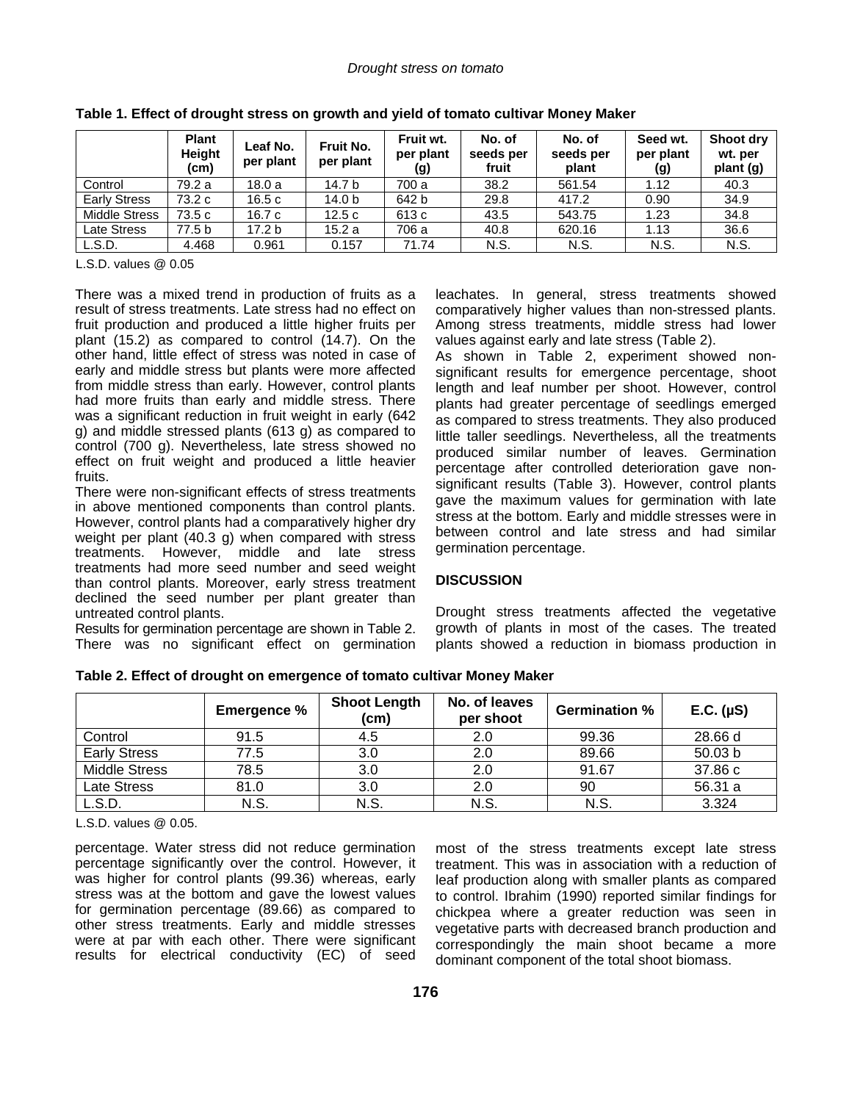|                      | <b>Plant</b><br>Height<br>(c <sub>m</sub> ) | Leaf No.<br>per plant | Fruit No.<br>per plant | Fruit wt.<br>per plant<br>(g) | No. of<br>seeds per<br>fruit | No. of<br>seeds per<br>plant | Seed wt.<br>per plant<br>(g) | Shoot dry<br>wt. per<br>plant (g) |
|----------------------|---------------------------------------------|-----------------------|------------------------|-------------------------------|------------------------------|------------------------------|------------------------------|-----------------------------------|
| Control              | 79.2 a                                      | 18.0a                 | 14.7 b                 | 700 a                         | 38.2                         | 561.54                       | 1.12                         | 40.3                              |
| <b>Early Stress</b>  | 73.2 c                                      | 16.5c                 | 14.0 b                 | 642 b                         | 29.8                         | 417.2                        | 0.90                         | 34.9                              |
| <b>Middle Stress</b> | 73.5 c                                      | 16.7 c                | 12.5c                  | 613 c                         | 43.5                         | 543.75                       | 1.23                         | 34.8                              |
| Late Stress          | 77.5 b                                      | 17.2 <sub>b</sub>     | 15.2a                  | 706 a                         | 40.8                         | 620.16                       | 1.13                         | 36.6                              |
| L.S.D.               | 4.468                                       | 0.961                 | 0.157                  | 71.74                         | N.S.                         | N.S.                         | N.S.                         | N.S.                              |

**Table 1. Effect of drought stress on growth and yield of tomato cultivar Money Maker** 

L.S.D. values @ 0.05

There was a mixed trend in production of fruits as a result of stress treatments. Late stress had no effect on fruit production and produced a little higher fruits per plant (15.2) as compared to control (14.7). On the other hand, little effect of stress was noted in case of early and middle stress but plants were more affected from middle stress than early. However, control plants had more fruits than early and middle stress. There was a significant reduction in fruit weight in early (642 g) and middle stressed plants (613 g) as compared to control (700 g). Nevertheless, late stress showed no effect on fruit weight and produced a little heavier fruits.

There were non-significant effects of stress treatments in above mentioned components than control plants. However, control plants had a comparatively higher dry weight per plant (40.3 g) when compared with stress treatments. However, middle and late stress treatments had more seed number and seed weight than control plants. Moreover, early stress treatment declined the seed number per plant greater than untreated control plants.

Results for germination percentage are shown in Table 2. There was no significant effect on germination leachates. In general, stress treatments showed comparatively higher values than non-stressed plants. Among stress treatments, middle stress had lower values against early and late stress (Table 2).

As shown in Table 2, experiment showed nonsignificant results for emergence percentage, shoot length and leaf number per shoot. However, control plants had greater percentage of seedlings emerged as compared to stress treatments. They also produced little taller seedlings. Nevertheless, all the treatments produced similar number of leaves. Germination percentage after controlled deterioration gave nonsignificant results (Table 3). However, control plants gave the maximum values for germination with late stress at the bottom. Early and middle stresses were in between control and late stress and had similar germination percentage.

### **DISCUSSION**

Drought stress treatments affected the vegetative growth of plants in most of the cases. The treated plants showed a reduction in biomass production in

|                      | <b>Emergence %</b> | <b>Shoot Length</b><br>(cm) | No. of leaves<br>per shoot | <b>Germination %</b> | E.C. (µS) |
|----------------------|--------------------|-----------------------------|----------------------------|----------------------|-----------|
| Control              | 91.5               | 4.5                         | 2.0                        | 99.36                | 28.66 d   |
| <b>Early Stress</b>  | 77.5               | 3.0                         | 2.0                        | 89.66                | 50.03 b   |
| <b>Middle Stress</b> | 78.5               | 3.0                         | 2.0                        | 91.67                | 37.86 c   |
| Late Stress          | 81.0               | 3.0                         | 2.0                        | 90                   | 56.31 a   |
| L.S.D.               | N.S.               | N.S.                        | N.S.                       | N.S.                 | 3.324     |

**Table 2. Effect of drought on emergence of tomato cultivar Money Maker** 

L.S.D. values @ 0.05.

percentage. Water stress did not reduce germination percentage significantly over the control. However, it was higher for control plants (99.36) whereas, early stress was at the bottom and gave the lowest values for germination percentage (89.66) as compared to other stress treatments. Early and middle stresses were at par with each other. There were significant results for electrical conductivity (EC) of seed

most of the stress treatments except late stress treatment. This was in association with a reduction of leaf production along with smaller plants as compared to control. Ibrahim (1990) reported similar findings for chickpea where a greater reduction was seen in vegetative parts with decreased branch production and correspondingly the main shoot became a more dominant component of the total shoot biomass.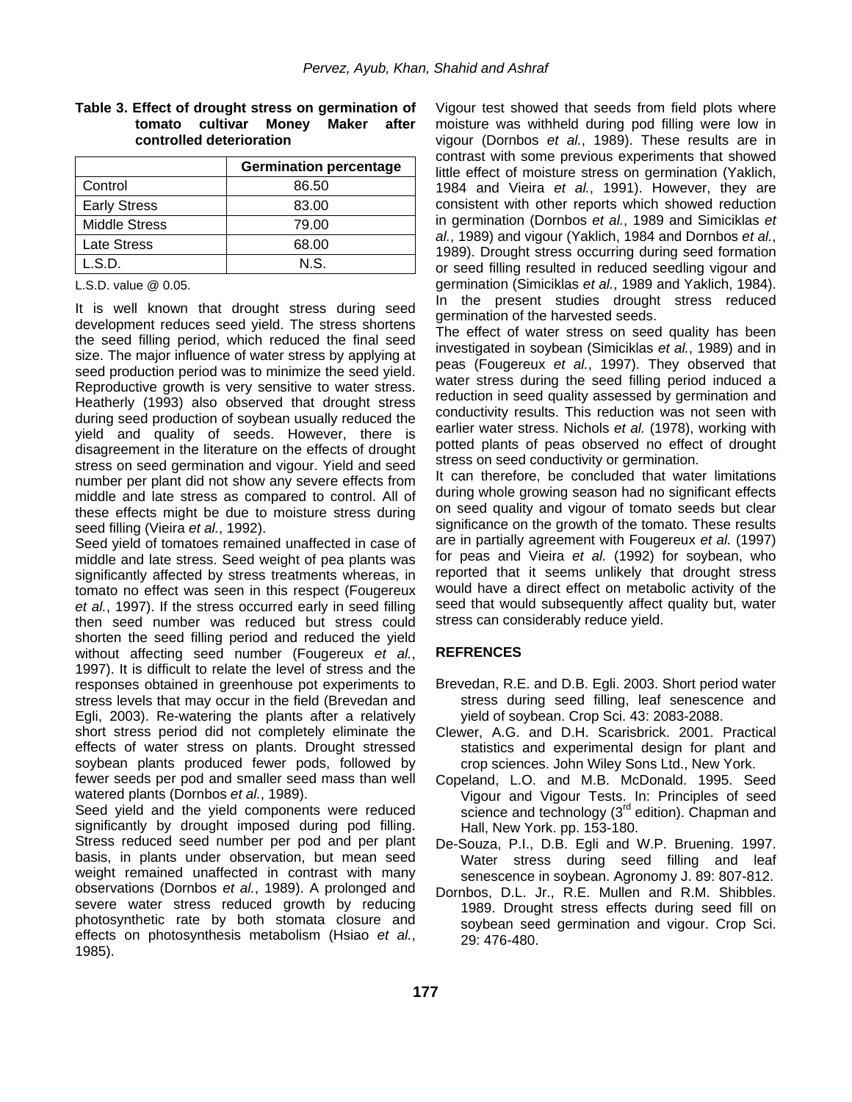#### **Table 3. Effect of drought stress on germination of tomato cultivar Money Maker after controlled deterioration**

|                      | <b>Germination percentage</b> |  |
|----------------------|-------------------------------|--|
| Control              | 86.50                         |  |
| <b>Early Stress</b>  | 83.00                         |  |
| <b>Middle Stress</b> | 79.00                         |  |
| Late Stress          | 68.00                         |  |
| L.S.D.               | N.S.                          |  |

#### L.S.D. value @ 0.05.

It is well known that drought stress during seed development reduces seed yield. The stress shortens the seed filling period, which reduced the final seed size. The major influence of water stress by applying at seed production period was to minimize the seed yield. Reproductive growth is very sensitive to water stress. Heatherly (1993) also observed that drought stress during seed production of soybean usually reduced the yield and quality of seeds. However, there is disagreement in the literature on the effects of drought stress on seed germination and vigour. Yield and seed number per plant did not show any severe effects from middle and late stress as compared to control. All of these effects might be due to moisture stress during seed filling (Vieira *et al.*, 1992).

Seed yield of tomatoes remained unaffected in case of middle and late stress. Seed weight of pea plants was significantly affected by stress treatments whereas, in tomato no effect was seen in this respect (Fougereux *et al.*, 1997). If the stress occurred early in seed filling then seed number was reduced but stress could shorten the seed filling period and reduced the yield without affecting seed number (Fougereux *et al.*, 1997). It is difficult to relate the level of stress and the responses obtained in greenhouse pot experiments to stress levels that may occur in the field (Brevedan and Egli, 2003). Re-watering the plants after a relatively short stress period did not completely eliminate the effects of water stress on plants. Drought stressed soybean plants produced fewer pods, followed by fewer seeds per pod and smaller seed mass than well watered plants (Dornbos *et al.*, 1989).

Seed yield and the yield components were reduced significantly by drought imposed during pod filling. Stress reduced seed number per pod and per plant basis, in plants under observation, but mean seed weight remained unaffected in contrast with many observations (Dornbos *et al.*, 1989). A prolonged and severe water stress reduced growth by reducing photosynthetic rate by both stomata closure and effects on photosynthesis metabolism (Hsiao *et al.*, 1985).

Vigour test showed that seeds from field plots where moisture was withheld during pod filling were low in vigour (Dornbos *et al.*, 1989). These results are in contrast with some previous experiments that showed little effect of moisture stress on germination (Yaklich, 1984 and Vieira *et al.*, 1991). However, they are consistent with other reports which showed reduction in germination (Dornbos *et al.*, 1989 and Simiciklas *et al.*, 1989) and vigour (Yaklich, 1984 and Dornbos *et al.*, 1989). Drought stress occurring during seed formation or seed filling resulted in reduced seedling vigour and germination (Simiciklas *et al.*, 1989 and Yaklich, 1984). In the present studies drought stress reduced germination of the harvested seeds.

The effect of water stress on seed quality has been investigated in soybean (Simiciklas *et al.*, 1989) and in peas (Fougereux *et al.*, 1997). They observed that water stress during the seed filling period induced a reduction in seed quality assessed by germination and conductivity results. This reduction was not seen with earlier water stress. Nichols *et al.* (1978), working with potted plants of peas observed no effect of drought stress on seed conductivity or germination.

It can therefore, be concluded that water limitations during whole growing season had no significant effects on seed quality and vigour of tomato seeds but clear significance on the growth of the tomato. These results are in partially agreement with Fougereux *et al.* (1997) for peas and Vieira *et al.* (1992) for soybean, who reported that it seems unlikely that drought stress would have a direct effect on metabolic activity of the seed that would subsequently affect quality but, water stress can considerably reduce yield.

#### **REFRENCES**

- Brevedan, R.E. and D.B. Egli. 2003. Short period water stress during seed filling, leaf senescence and yield of soybean. Crop Sci. 43: 2083-2088.
- Clewer, A.G. and D.H. Scarisbrick. 2001. Practical statistics and experimental design for plant and crop sciences. John Wiley Sons Ltd., New York.
- Copeland, L.O. and M.B. McDonald. 1995. Seed Vigour and Vigour Tests. In: Principles of seed science and technology (3<sup>rd</sup> edition). Chapman and Hall, New York. pp. 153-180.
- De-Souza, P.I., D.B. Egli and W.P. Bruening. 1997. Water stress during seed filling and leaf senescence in soybean. Agronomy J. 89: 807-812.
- Dornbos, D.L. Jr., R.E. Mullen and R.M. Shibbles. 1989. Drought stress effects during seed fill on soybean seed germination and vigour. Crop Sci. 29: 476-480.